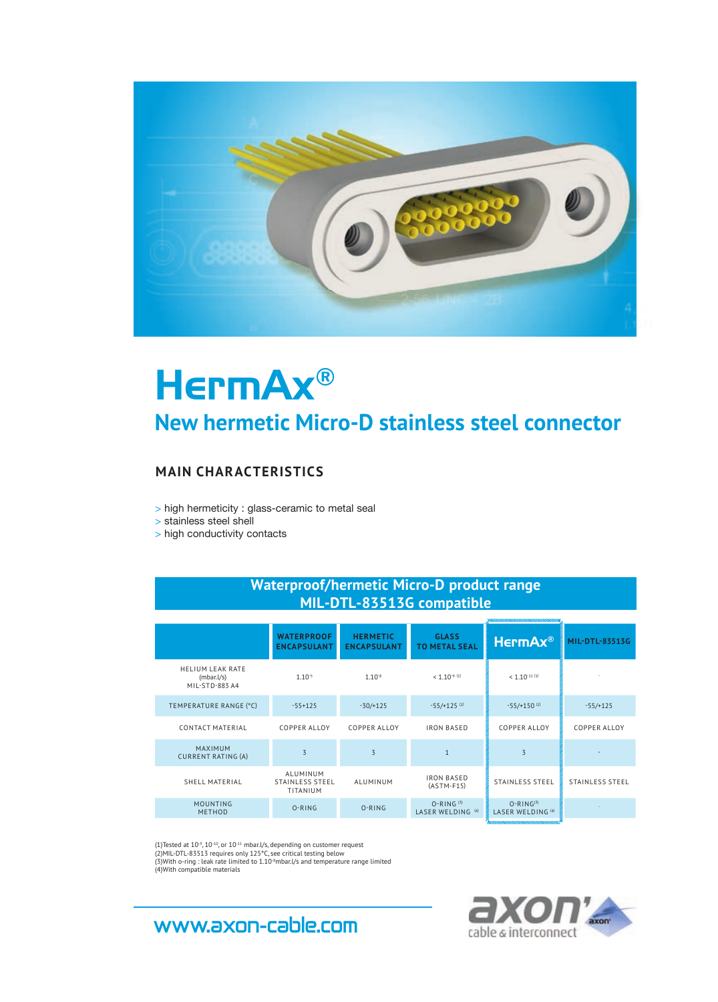

# HermAx® **New hermetic Micro-D stainless steel connector**

#### **MAIN CHARACTERISTICS**

> high hermeticity : glass-ceramic to metal seal

> stainless steel shell

> high conductivity contacts

### **Waterproof/hermetic Micro-D product range MIL-DTL-83513G compatible**

|                                                          | <b>WATERPROOF</b><br><b>ENCAPSULANT</b>        | <b>HERMETIC</b><br><b>ENCAPSULANT</b> | <b>GLASS</b><br><b>TO METAL SEAL</b> | HermAx®                          | <b>MIL-DTL-83513G</b>  |
|----------------------------------------------------------|------------------------------------------------|---------------------------------------|--------------------------------------|----------------------------------|------------------------|
| <b>HELIUM LEAK RATE</b><br>(mbar. l/s)<br>MIL-STD-883 A4 | $1.10^{-5}$                                    | $1.10^{-8}$                           | $< 1.10^{-9}$ (1)                    | $< 1.10$ <sup>-11 (1)</sup>      |                        |
| TEMPERATURE RANGE (°C)                                   | $-55+125$                                      | $-30/125$                             | $-55/+125$ <sup>(2)</sup>            | $-55/+150^{(2)}$                 | $-55/+125$             |
| <b>CONTACT MATERIAL</b>                                  | <b>COPPER ALLOY</b>                            | <b>COPPER ALLOY</b>                   | <b>IRON BASED</b>                    | <b>COPPER ALLOY</b>              | <b>COPPER ALLOY</b>    |
| <b>MAXIMUM</b><br><b>CURRENT RATING (A)</b>              | $\overline{5}$                                 | 3                                     |                                      | $\overline{z}$                   |                        |
| SHELL MATERIAL                                           | ALUMINUM<br><b>STAINLESS STEEL</b><br>TITANIUM | ALUMINUM                              | <b>IRON BASED</b><br>$(ASTM-F15)$    | STAINLESS STEEL                  | <b>STAINLESS STEEL</b> |
| MOUNTING<br><b>METHOD</b>                                | O-RING                                         | $O-RING$                              | $O-RING(3)$<br>LASER WELDING (4)     | $O-RING(3)$<br>LASER WELDING (4) |                        |

(1)Tested at 10°, 10<sup>-10</sup>, or 10<sup>-11</sup> mbar.l/s, depending on customer request<br>(2)MIL-DTL-83513 requires only 125°C, see critical testing below<br>(3)With o-ring : leak rate limited to 1.10°mbar.l/s and temperature range limit

cable & interconnect

## **www.axon-cable.com**